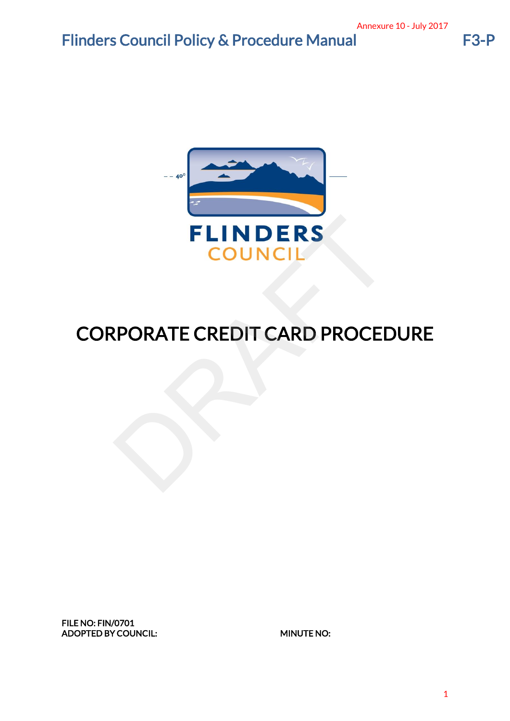# Flinders Council Policy & Procedure Manual F3-P



# CORPORATE CREDIT CARD PROCEDURE Annexure 10 - July 2017<br>
CEDURE

FILE NO: FIN/0701 ADOPTED BY COUNCIL: MINUTE NO: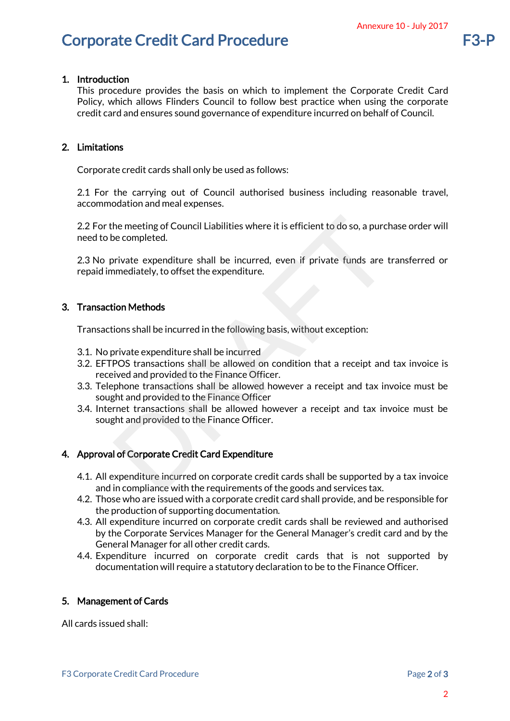# Corporate Credit Card Procedure F3-P

### 1. Introduction

This procedure provides the basis on which to implement the Corporate Credit Card Policy, which allows Flinders Council to follow best practice when using the corporate credit card and ensures sound governance of expenditure incurred on behalf of Council. Annexure 10 - July 2017<br>
orporate Credit Card<br>
n using the corporate<br>
n behalf of Council.<br>
ng reasonable travel,<br>
9. a purchase order will<br>
ds are transferred or<br>
on:<br>
eipt and tax invoice is<br>
d tax invoice must be<br>
1 tax

### 2. Limitations

Corporate credit cards shall only be used as follows:

2.1 For the carrying out of Council authorised business including reasonable travel, accommodation and meal expenses.

2.2 For the meeting of Council Liabilities where it is efficient to do so, a purchase order will need to be completed.

2.3 No private expenditure shall be incurred, even if private funds are transferred or repaid immediately, to offset the expenditure.

### 3. Transaction Methods

Transactions shall be incurred in the following basis, without exception:

- 3.1. No private expenditure shall be incurred
- 3.2. EFTPOS transactions shall be allowed on condition that a receipt and tax invoice is received and provided to the Finance Officer. the meeting of Council Liabilities where it is efficient to do so, a purch<br>be completed.<br>private expenditure shall be incurred, even if private funds are t<br>mediately, to offset the expenditure.<br>ion Methods<br>ions shall be in
- 3.3. Telephone transactions shall be allowed however a receipt and tax invoice must be sought and provided to the Finance Officer
- 3.4. Internet transactions shall be allowed however a receipt and tax invoice must be sought and provided to the Finance Officer.

### 4. Approval of Corporate Credit Card Expenditure

- 4.1. All expenditure incurred on corporate credit cards shall be supported by a tax invoice and in compliance with the requirements of the goods and services tax.
- 4.2. Those who are issued with a corporate credit card shall provide, and be responsible for the production of supporting documentation.
- 4.3. All expenditure incurred on corporate credit cards shall be reviewed and authorised by the Corporate Services Manager for the General Manager's credit card and by the General Manager for all other credit cards.
- 4.4. Expenditure incurred on corporate credit cards that is not supported by documentation will require a statutory declaration to be to the Finance Officer.

### 5. Management of Cards

All cards issued shall: